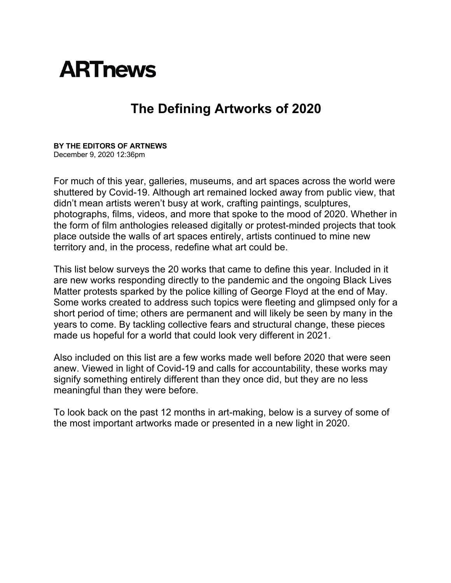## **ARTnews**

## **The Defining Artworks of 2020**

**BY THE EDITORS OF ARTNEWS** December 9, 2020 12:36pm

For much of this year, galleries, museums, and art spaces across the world were shuttered by Covid-19. Although art remained locked away from public view, that didn't mean artists weren't busy at work, crafting paintings, sculptures, photographs, films, videos, and more that spoke to the mood of 2020. Whether in the form of film anthologies released digitally or protest-minded projects that took place outside the walls of art spaces entirely, artists continued to mine new territory and, in the process, redefine what art could be.

This list below surveys the 20 works that came to define this year. Included in it are new works responding directly to the pandemic and the ongoing Black Lives Matter protests sparked by the police killing of George Floyd at the end of May. Some works created to address such topics were fleeting and glimpsed only for a short period of time; others are permanent and will likely be seen by many in the years to come. By tackling collective fears and structural change, these pieces made us hopeful for a world that could look very different in 2021.

Also included on this list are a few works made well before 2020 that were seen anew. Viewed in light of Covid-19 and calls for accountability, these works may signify something entirely different than they once did, but they are no less meaningful than they were before.

To look back on the past 12 months in art-making, below is a survey of some of the most important artworks made or presented in a new light in 2020.